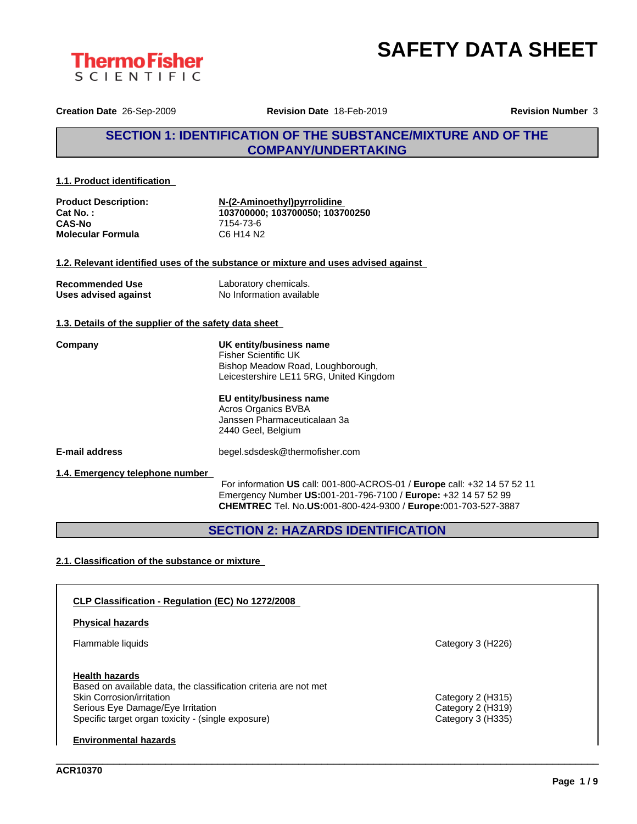



**Creation Date** 26-Sep-2009 **Revision Date** 18-Feb-2019 **Revision Number** 3

# **SECTION 1: IDENTIFICATION OF THE SUBSTANCE/MIXTURE AND OF THE COMPANY/UNDERTAKING**

#### **1.1. Product identification**

| <b>Product Description:</b> | N-(2-Aminoethyl)pyrrolidine     |
|-----------------------------|---------------------------------|
| Cat No.:                    | 103700000: 103700050: 103700250 |
| <b>CAS-No</b>               | 7154-73-6                       |
| <b>Molecular Formula</b>    | C6 H14 N2                       |

#### **1.2. Relevant identified uses of the substance or mixture and uses advised against**

| <b>Recommended Use</b> | Laboratory chemicals.    |
|------------------------|--------------------------|
| Uses advised against   | No Information available |

#### **1.3. Details of the supplier of the safety data sheet**

| Company | UK entity/business name<br>Fisher Scientific UK<br>Bishop Meadow Road, Loughborough,<br>Leicestershire LE11 5RG, United Kingdom |
|---------|---------------------------------------------------------------------------------------------------------------------------------|
|         |                                                                                                                                 |

### **EU entity/business name**

Acros Organics BVBA Janssen Pharmaceuticalaan 3a 2440 Geel, Belgium

**E-mail address** begel.sdsdesk@thermofisher.com

#### **1.4. Emergency telephone number**

For information **US** call: 001-800-ACROS-01 / **Europe** call: +32 14 57 52 11 Emergency Number **US:**001-201-796-7100 / **Europe:** +32 14 57 52 99 **CHEMTREC** Tel. No.**US:**001-800-424-9300 / **Europe:**001-703-527-3887

\_\_\_\_\_\_\_\_\_\_\_\_\_\_\_\_\_\_\_\_\_\_\_\_\_\_\_\_\_\_\_\_\_\_\_\_\_\_\_\_\_\_\_\_\_\_\_\_\_\_\_\_\_\_\_\_\_\_\_\_\_\_\_\_\_\_\_\_\_\_\_\_\_\_\_\_\_\_\_\_\_\_\_\_\_\_\_\_\_\_\_\_\_\_

# **SECTION 2: HAZARDS IDENTIFICATION**

#### **2.1. Classification of the substance or mixture**

| CLP Classification - Regulation (EC) No 1272/2008                                             |                   |  |
|-----------------------------------------------------------------------------------------------|-------------------|--|
| <b>Physical hazards</b>                                                                       |                   |  |
| Flammable liquids                                                                             | Category 3 (H226) |  |
| <b>Health hazards</b>                                                                         |                   |  |
| Based on available data, the classification criteria are not met<br>Skin Corrosion/irritation | Category 2 (H315) |  |
| Serious Eye Damage/Eye Irritation                                                             | Category 2 (H319) |  |
| Specific target organ toxicity - (single exposure)                                            | Category 3 (H335) |  |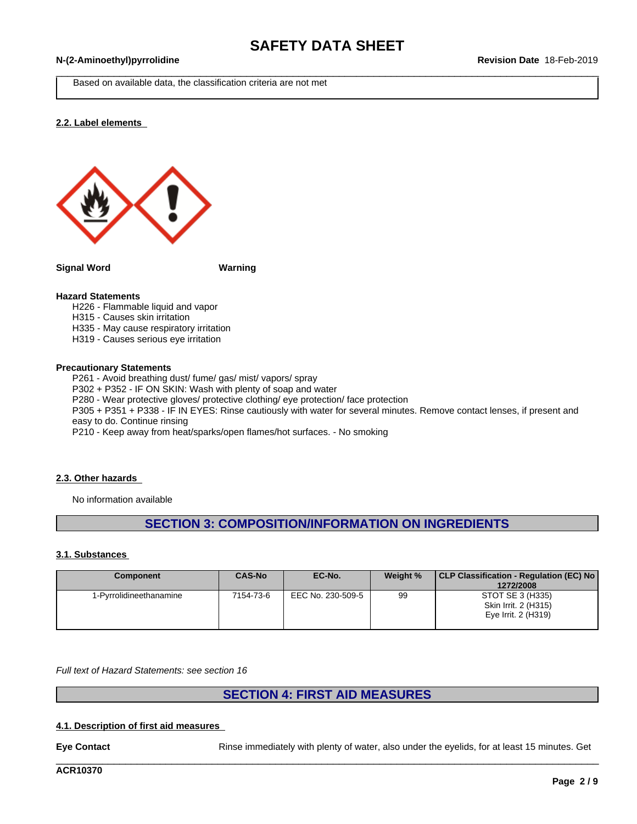# \_\_\_\_\_\_\_\_\_\_\_\_\_\_\_\_\_\_\_\_\_\_\_\_\_\_\_\_\_\_\_\_\_\_\_\_\_\_\_\_\_\_\_\_\_\_\_\_\_\_\_\_\_\_\_\_\_\_\_\_\_\_\_\_\_\_\_\_\_\_\_\_\_\_\_\_\_\_\_\_\_\_\_\_\_\_\_\_\_\_\_\_\_\_ **N-(2-Aminoethyl)pyrrolidine Revision Date** 18-Feb-2019

Based on available data, the classification criteria are not met

#### **2.2. Label elements**



**Signal Word Warning**

#### **Hazard Statements**

- H226 Flammable liquid and vapor
- H315 Causes skin irritation
- H335 May cause respiratory irritation
- H319 Causes serious eye irritation

#### **Precautionary Statements**

P261 - Avoid breathing dust/ fume/ gas/ mist/ vapors/ spray P302 + P352 - IF ON SKIN: Wash with plenty of soap and water

P280 - Wear protective gloves/ protective clothing/ eye protection/ face protection

P305 + P351 + P338 - IF IN EYES: Rinse cautiously with water for several minutes. Remove contact lenses, if present and easy to do. Continue rinsing

P210 - Keep away from heat/sparks/open flames/hot surfaces. - No smoking

#### **2.3. Other hazards**

No information available

# **SECTION 3: COMPOSITION/INFORMATION ON INGREDIENTS**

#### **3.1. Substances**

| <b>Component</b>        | <b>CAS-No</b> | EC-No.            | Weight % | CLP Classification - Regulation (EC) No<br>1272/2008            |
|-------------------------|---------------|-------------------|----------|-----------------------------------------------------------------|
| 1-Pyrrolidineethanamine | 7154-73-6     | EEC No. 230-509-5 | 99       | STOT SE 3 (H335)<br>Skin Irrit. 2 (H315)<br>Eye Irrit. 2 (H319) |

*Full text of Hazard Statements: see section 16*

# **SECTION 4: FIRST AID MEASURES**

#### **4.1. Description of first aid measures**

**Eye Contact** Rinse immediately with plenty of water, also under the eyelids, for at least 15 minutes. Get

\_\_\_\_\_\_\_\_\_\_\_\_\_\_\_\_\_\_\_\_\_\_\_\_\_\_\_\_\_\_\_\_\_\_\_\_\_\_\_\_\_\_\_\_\_\_\_\_\_\_\_\_\_\_\_\_\_\_\_\_\_\_\_\_\_\_\_\_\_\_\_\_\_\_\_\_\_\_\_\_\_\_\_\_\_\_\_\_\_\_\_\_\_\_

**ACR10370**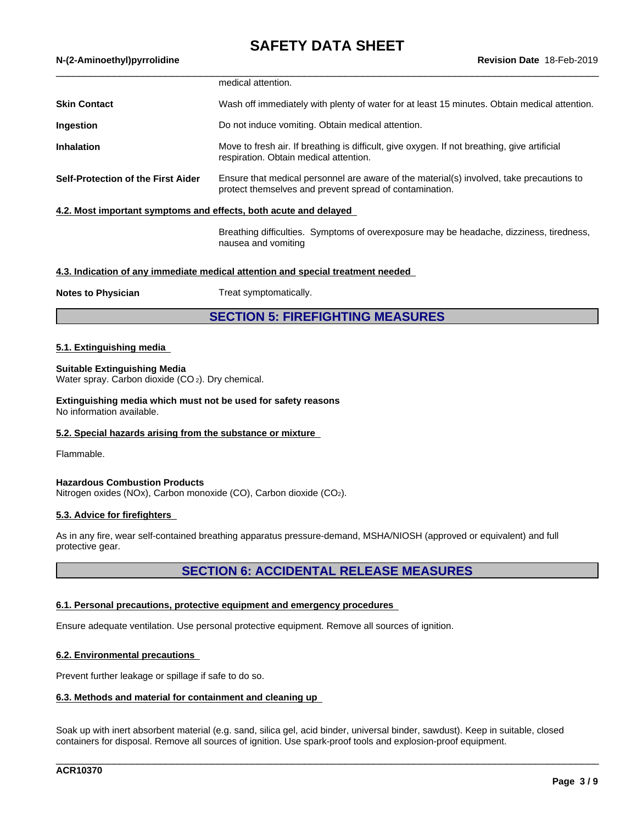# **SAFETY DATA SHEET**

|  | N-(2-Aminoethyl)pyrrolidine |
|--|-----------------------------|
|  |                             |

|                                                                  | medical attention.                                                                                                                                  |
|------------------------------------------------------------------|-----------------------------------------------------------------------------------------------------------------------------------------------------|
| <b>Skin Contact</b>                                              | Wash off immediately with plenty of water for at least 15 minutes. Obtain medical attention.                                                        |
| Ingestion                                                        | Do not induce vomiting. Obtain medical attention.                                                                                                   |
| <b>Inhalation</b>                                                | Move to fresh air. If breathing is difficult, give oxygen. If not breathing, give artificial<br>respiration. Obtain medical attention.              |
| <b>Self-Protection of the First Aider</b>                        | Ensure that medical personnel are aware of the material(s) involved, take precautions to<br>protect themselves and prevent spread of contamination. |
| 4.2. Most important symptoms and effects, both acute and delayed |                                                                                                                                                     |
|                                                                  | Breathing difficulties. Symptoms of overexposure may be headache, dizziness, tiredness,<br>nausea and vomiting                                      |
|                                                                  |                                                                                                                                                     |

#### **4.3. Indication of any immediate medical attention and special treatment needed**

**Notes to Physician** Treat symptomatically.

**SECTION 5: FIREFIGHTING MEASURES**

#### **5.1. Extinguishing media**

#### **Suitable Extinguishing Media**

Water spray. Carbon dioxide (CO<sub>2</sub>). Dry chemical.

**Extinguishing media which must not be used for safety reasons** No information available.

#### **5.2. Special hazards arising from the substance or mixture**

Flammable.

#### **Hazardous Combustion Products**

Nitrogen oxides (NOx), Carbon monoxide (CO), Carbon dioxide (CO2).

#### **5.3. Advice for firefighters**

As in any fire, wear self-contained breathing apparatus pressure-demand, MSHA/NIOSH (approved or equivalent) and full protective gear.

# **SECTION 6: ACCIDENTAL RELEASE MEASURES**

#### **6.1. Personal precautions, protective equipment and emergency procedures**

Ensure adequate ventilation. Use personal protective equipment. Remove all sources of ignition.

#### **6.2. Environmental precautions**

Prevent further leakage or spillage if safe to do so.

#### **6.3. Methods and material for containment and cleaning up**

Soak up with inert absorbent material (e.g. sand, silica gel, acid binder, universal binder, sawdust). Keep in suitable, closed containers for disposal. Remove all sources of ignition. Use spark-prooftools and explosion-proof equipment.

\_\_\_\_\_\_\_\_\_\_\_\_\_\_\_\_\_\_\_\_\_\_\_\_\_\_\_\_\_\_\_\_\_\_\_\_\_\_\_\_\_\_\_\_\_\_\_\_\_\_\_\_\_\_\_\_\_\_\_\_\_\_\_\_\_\_\_\_\_\_\_\_\_\_\_\_\_\_\_\_\_\_\_\_\_\_\_\_\_\_\_\_\_\_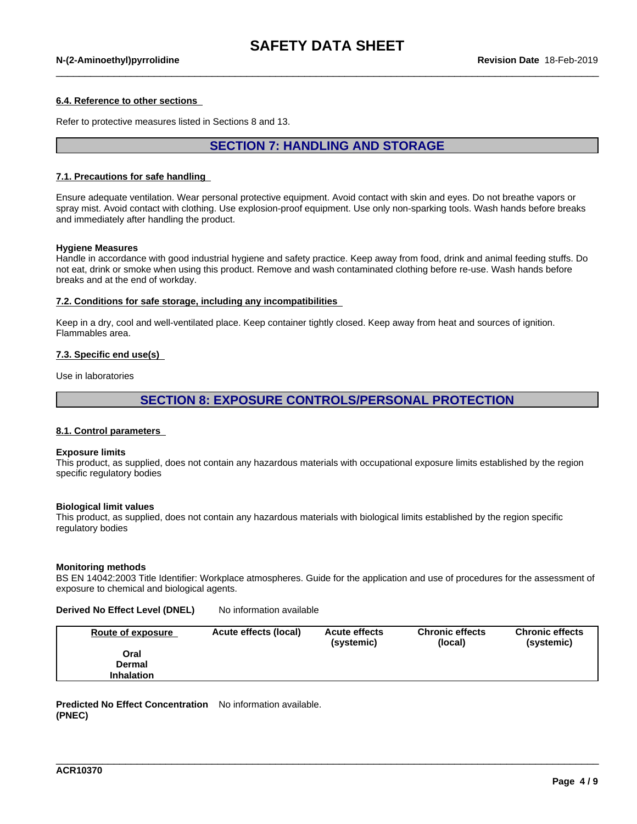#### **6.4. Reference to other sections**

Refer to protective measures listed in Sections 8 and 13.

# **SECTION 7: HANDLING AND STORAGE**

#### **7.1. Precautions for safe handling**

Ensure adequate ventilation. Wear personal protective equipment. Avoid contact with skin and eyes. Do not breathe vapors or spray mist. Avoid contact with clothing. Use explosion-proof equipment. Use only non-sparking tools. Wash hands before breaks and immediately after handling the product.

#### **Hygiene Measures**

Handle in accordance with good industrial hygiene and safety practice. Keep away from food, drink and animal feeding stuffs. Do not eat, drink or smoke when using this product. Remove and wash contaminated clothing before re-use. Wash hands before breaks and at the end of workday.

#### **7.2. Conditions for safe storage, including any incompatibilities**

Keep in a dry, cool and well-ventilated place. Keep container tightly closed. Keep away from heat and sources of ignition. Flammables area.

#### **7.3. Specific end use(s)**

Use in laboratories

# **SECTION 8: EXPOSURE CONTROLS/PERSONAL PROTECTION**

#### **8.1. Control parameters**

#### **Exposure limits**

This product, as supplied, does not contain any hazardous materials with occupational exposure limits established by the region specific regulatory bodies

#### **Biological limit values**

This product, as supplied, does not contain any hazardous materials with biological limits established by the region specific regulatory bodies

#### **Monitoring methods**

BS EN 14042:2003 Title Identifier: Workplace atmospheres. Guide for the application and use of procedures for the assessment of exposure to chemical and biological agents.

#### **Derived No Effect Level (DNEL)** No information available

| Route of exposure | Acute effects (local) | <b>Acute effects</b><br>(systemic) | <b>Chronic effects</b><br>(local) | <b>Chronic effects</b><br>(systemic) |
|-------------------|-----------------------|------------------------------------|-----------------------------------|--------------------------------------|
| Oral              |                       |                                    |                                   |                                      |
| Dermal            |                       |                                    |                                   |                                      |
| <b>Inhalation</b> |                       |                                    |                                   |                                      |

\_\_\_\_\_\_\_\_\_\_\_\_\_\_\_\_\_\_\_\_\_\_\_\_\_\_\_\_\_\_\_\_\_\_\_\_\_\_\_\_\_\_\_\_\_\_\_\_\_\_\_\_\_\_\_\_\_\_\_\_\_\_\_\_\_\_\_\_\_\_\_\_\_\_\_\_\_\_\_\_\_\_\_\_\_\_\_\_\_\_\_\_\_\_

#### **Predicted No Effect Concentration** No information available. **(PNEC)**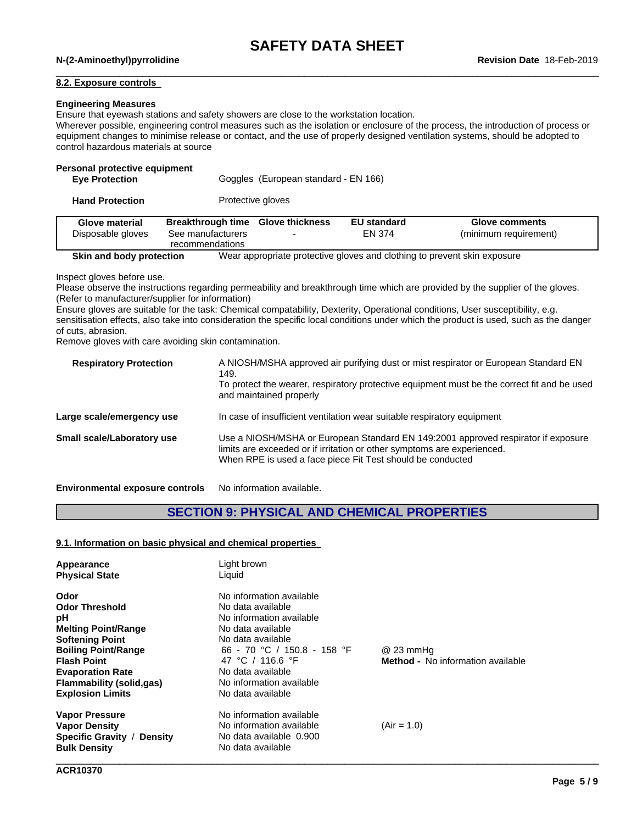# **SAFETY DATA SHEET**

# \_\_\_\_\_\_\_\_\_\_\_\_\_\_\_\_\_\_\_\_\_\_\_\_\_\_\_\_\_\_\_\_\_\_\_\_\_\_\_\_\_\_\_\_\_\_\_\_\_\_\_\_\_\_\_\_\_\_\_\_\_\_\_\_\_\_\_\_\_\_\_\_\_\_\_\_\_\_\_\_\_\_\_\_\_\_\_\_\_\_\_\_\_\_ **N-(2-Aminoethyl)pyrrolidine Revision Date** 18-Feb-2019

#### **8.2. Exposure controls**

#### **Engineering Measures**

Ensure that eyewash stations and safety showers are close to the workstation location.

Wherever possible, engineering control measures such as the isolation or enclosure of the process, the introduction of process or equipment changes to minimise release or contact, and the use of properly designed ventilation systems, should be adopted to control hazardous materials at source

#### **Personal protective equipment**

| Glove material         | <b>Breakthrough time Glove thickness</b><br><b>FU</b> standard | Glov |
|------------------------|----------------------------------------------------------------|------|
| <b>Hand Protection</b> | Protective gloves                                              |      |
| <b>Eye Protection</b>  | Goggles (European standard - EN 166)                           |      |

| <b>Glove material</b>    | <b>Breakthrough time Glove thickness</b> | <b>EU standard</b> | <b>Glove comments</b>                                                    |
|--------------------------|------------------------------------------|--------------------|--------------------------------------------------------------------------|
| Disposable gloves        | See manufacturers                        | EN 374             | (minimum requirement)                                                    |
|                          | recommendations                          |                    |                                                                          |
| Skin and body protection |                                          |                    | Wear appropriate protective gloves and clothing to prevent skin exposure |

Inspect gloves before use.

Please observe the instructions regarding permeability and breakthrough time which are provided by the supplier of the gloves. (Refer to manufacturer/supplier for information)

Ensure gloves are suitable for the task: Chemical compatability, Dexterity, Operational conditions, User susceptibility, e.g. sensitisation effects, also take into consideration the specific local conditions under which the product is used, such as the danger of cuts, abrasion.

Remove gloves with care avoiding skin contamination.

| A NIOSH/MSHA approved air purifying dust or mist respirator or European Standard EN<br>149.<br>To protect the wearer, respiratory protective equipment must be the correct fit and be used<br>and maintained properly      |
|----------------------------------------------------------------------------------------------------------------------------------------------------------------------------------------------------------------------------|
| In case of insufficient ventilation wear suitable respiratory equipment                                                                                                                                                    |
| Use a NIOSH/MSHA or European Standard EN 149:2001 approved respirator if exposure<br>limits are exceeded or if irritation or other symptoms are experienced.<br>When RPE is used a face piece Fit Test should be conducted |
|                                                                                                                                                                                                                            |

**Environmental exposure controls** No information available.

# **SECTION 9: PHYSICAL AND CHEMICAL PROPERTIES**

#### **9.1. Information on basic physical and chemical properties**

| Appearance<br><b>Physical State</b>         | Light brown<br>Liquid       |                                          |  |
|---------------------------------------------|-----------------------------|------------------------------------------|--|
| Odor                                        | No information available    |                                          |  |
| <b>Odor Threshold</b>                       | No data available           |                                          |  |
| рH                                          | No information available    |                                          |  |
| <b>Melting Point/Range</b>                  | No data available           |                                          |  |
| <b>Softening Point</b>                      | No data available           |                                          |  |
| <b>Boiling Point/Range</b>                  | 66 - 70 °C / 150.8 - 158 °F | @ 23 mmHg                                |  |
| <b>Flash Point</b>                          | 47 °C / 116.6 °F            | <b>Method</b> - No information available |  |
| <b>Evaporation Rate</b>                     | No data available           |                                          |  |
| <b>Flammability (solid,gas)</b>             | No information available    |                                          |  |
| <b>Explosion Limits</b>                     | No data available           |                                          |  |
| <b>Vapor Pressure</b>                       | No information available    |                                          |  |
| <b>Vapor Density</b>                        | No information available    | $(Air = 1.0)$                            |  |
| <b>Specific Gravity /</b><br><b>Density</b> | No data available 0.900     |                                          |  |
| <b>Bulk Density</b>                         | No data available           |                                          |  |
|                                             |                             |                                          |  |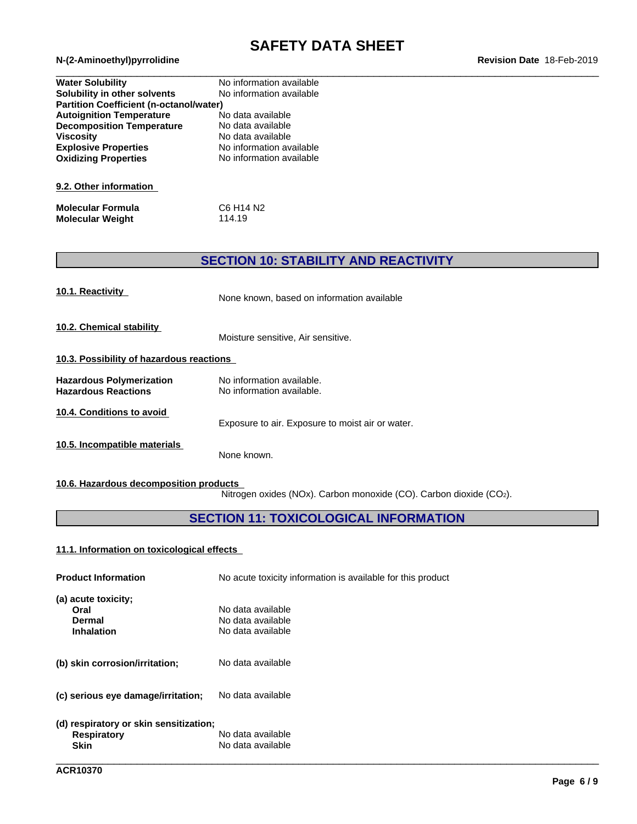# **SAFETY DATA SHEET**<br>Revision Date 18-Feb-2019

| <b>Water Solubility</b>                        | No information available          |  |
|------------------------------------------------|-----------------------------------|--|
| Solubility in other solvents                   | No information available          |  |
| <b>Partition Coefficient (n-octanol/water)</b> |                                   |  |
| <b>Autoignition Temperature</b>                | No data available                 |  |
| <b>Decomposition Temperature</b>               | No data available                 |  |
| <b>Viscosity</b>                               | No data available                 |  |
| <b>Explosive Properties</b>                    | No information available          |  |
| <b>Oxidizing Properties</b>                    | No information available          |  |
| 9.2. Other information                         |                                   |  |
| <b>Molecular Formula</b>                       | C6 H <sub>14</sub> N <sub>2</sub> |  |
| <b>Molecular Weight</b>                        | 114.19                            |  |

# **SECTION 10: STABILITY AND REACTIVITY**

| 10.1. Reactivity                                              | None known, based on information available             |
|---------------------------------------------------------------|--------------------------------------------------------|
| 10.2. Chemical stability                                      | Moisture sensitive, Air sensitive.                     |
| 10.3. Possibility of hazardous reactions                      |                                                        |
| <b>Hazardous Polymerization</b><br><b>Hazardous Reactions</b> | No information available.<br>No information available. |
| 10.4. Conditions to avoid                                     | Exposure to air. Exposure to moist air or water.       |
| 10.5. Incompatible materials                                  | None known.                                            |

# **10.6. Hazardous decomposition products**

Nitrogen oxides (NOx). Carbon monoxide (CO). Carbon dioxide (CO2).

# **SECTION 11: TOXICOLOGICAL INFORMATION**

### **11.1. Information on toxicologicaleffects**

| <b>Product Information</b>                                                  | No acute toxicity information is available for this product |
|-----------------------------------------------------------------------------|-------------------------------------------------------------|
| (a) acute toxicity;<br>Oral<br>Dermal<br><b>Inhalation</b>                  | No data available<br>No data available<br>No data available |
| (b) skin corrosion/irritation;                                              | No data available                                           |
| (c) serious eye damage/irritation;                                          | No data available                                           |
| (d) respiratory or skin sensitization;<br><b>Respiratory</b><br><b>Skin</b> | No data available<br>No data available                      |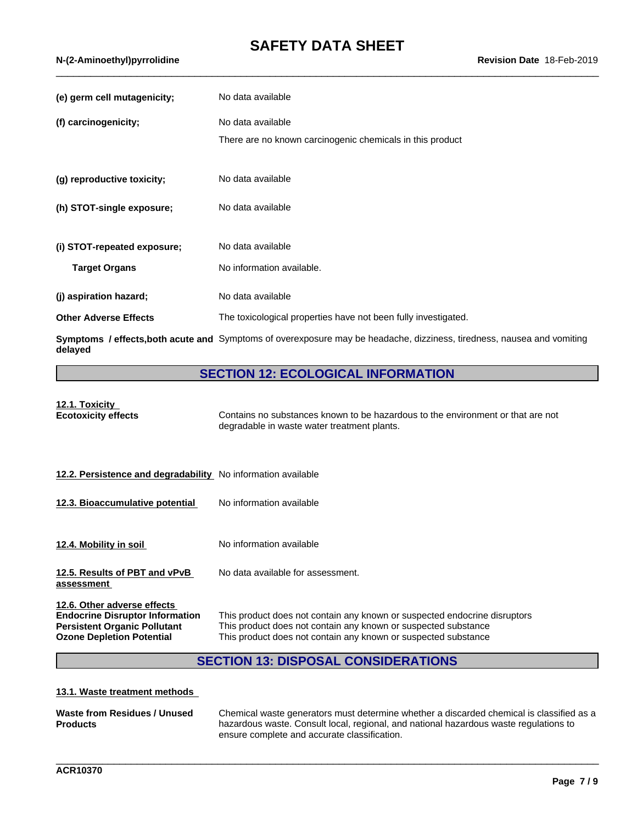# **SAFETY DATA SHEET**<br>Revision Date 18-Feb-2019

| (e) germ cell mutagenicity;  | No data available                                                                                                      |
|------------------------------|------------------------------------------------------------------------------------------------------------------------|
| (f) carcinogenicity;         | No data available                                                                                                      |
|                              | There are no known carcinogenic chemicals in this product                                                              |
| (g) reproductive toxicity;   | No data available                                                                                                      |
| (h) STOT-single exposure;    | No data available                                                                                                      |
| (i) STOT-repeated exposure;  | No data available                                                                                                      |
| <b>Target Organs</b>         | No information available.                                                                                              |
| (j) aspiration hazard;       | No data available                                                                                                      |
| <b>Other Adverse Effects</b> | The toxicological properties have not been fully investigated.                                                         |
| delayed                      | Symptoms / effects, both acute and Symptoms of overexposure may be headache, dizziness, tiredness, nausea and vomiting |

# **SECTION 12: ECOLOGICAL INFORMATION**

| 12.1. Toxicity<br><b>Ecotoxicity effects</b>                                                                                                     | Contains no substances known to be hazardous to the environment or that are not<br>degradable in waste water treatment plants.                                                                                |
|--------------------------------------------------------------------------------------------------------------------------------------------------|---------------------------------------------------------------------------------------------------------------------------------------------------------------------------------------------------------------|
| 12.2. Persistence and degradability No information available                                                                                     |                                                                                                                                                                                                               |
| 12.3. Bioaccumulative potential                                                                                                                  | No information available                                                                                                                                                                                      |
| 12.4. Mobility in soil                                                                                                                           | No information available                                                                                                                                                                                      |
| 12.5. Results of PBT and vPvB<br>assessment                                                                                                      | No data available for assessment.                                                                                                                                                                             |
| 12.6. Other adverse effects<br><b>Endocrine Disruptor Information</b><br><b>Persistent Organic Pollutant</b><br><b>Ozone Depletion Potential</b> | This product does not contain any known or suspected endocrine disruptors<br>This product does not contain any known or suspected substance<br>This product does not contain any known or suspected substance |

# **SECTION 13: DISPOSAL CONSIDERATIONS**

#### **13.1. Waste treatment methods**

| Waste from Residues / Unused | Chemical waste generators must determine whether a discarded chemical is classified as a |
|------------------------------|------------------------------------------------------------------------------------------|
| <b>Products</b>              | hazardous waste. Consult local, regional, and national hazardous waste regulations to    |
|                              | ensure complete and accurate classification.                                             |

\_\_\_\_\_\_\_\_\_\_\_\_\_\_\_\_\_\_\_\_\_\_\_\_\_\_\_\_\_\_\_\_\_\_\_\_\_\_\_\_\_\_\_\_\_\_\_\_\_\_\_\_\_\_\_\_\_\_\_\_\_\_\_\_\_\_\_\_\_\_\_\_\_\_\_\_\_\_\_\_\_\_\_\_\_\_\_\_\_\_\_\_\_\_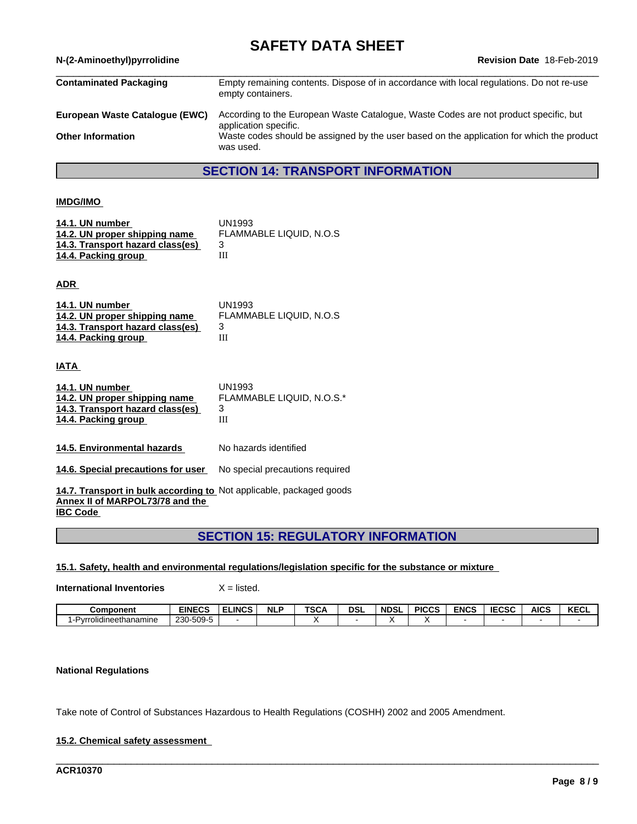# **SAFETY DATA SHEET**<br>Revision Date 18-Feb-2019

| N-(2-Aminoethyl)pyrrolidine    | Revision Date 18-Feb-2019                                                                                     |
|--------------------------------|---------------------------------------------------------------------------------------------------------------|
| <b>Contaminated Packaging</b>  | Empty remaining contents. Dispose of in accordance with local regulations. Do not re-use<br>empty containers. |
| European Waste Catalogue (EWC) | According to the European Waste Catalogue, Waste Codes are not product specific, but<br>application specific. |
| <b>Other Information</b>       | Waste codes should be assigned by the user based on the application for which the product<br>was used.        |
|                                |                                                                                                               |

# **SECTION 14: TRANSPORT INFORMATION**

#### **IMDG/IMO**

| 14.1. UN number                  | UN1993                  |
|----------------------------------|-------------------------|
| 14.2. UN proper shipping name    | FLAMMABLE LIQUID, N.O.S |
| 14.3. Transport hazard class(es) |                         |
| 14.4. Packing group              |                         |

**ADR** 

| 14.1. UN number                  | UN1993                         |
|----------------------------------|--------------------------------|
| 14.2. UN proper shipping name    | <b>FLAMMABLE LIQUID. N.O.S</b> |
| 14.3. Transport hazard class(es) |                                |
| 14.4. Packing group              | Ш                              |

**IATA** 

| 14.1. UN number                  | UN1993                    |
|----------------------------------|---------------------------|
| 14.2. UN proper shipping name    | FLAMMABLE LIQUID, N.O.S.* |
| 14.3. Transport hazard class(es) |                           |
| 14.4. Packing group              |                           |
|                                  |                           |

**14.5. Environmental hazards** No hazards identified

**14.6. Special precautions for user** No special precautions required

**14.7. Transport in bulk according to** Not applicable, packaged goods **Annex II of MARPOL73/78 and the IBC Code** 

# **SECTION 15: REGULATORY INFORMATION**

**15.1. Safety, health and environmental regulations/legislation specific for the substance or mixture**

**International Inventories** X = listed.

| Component                    | EINECS                    | <b>ELINCS</b> | <b>NLP</b> | <b>TSCA</b> | <b>DSL</b> | <b>NDSL</b> | <b>PICCS</b> | <b>ENCS</b> | <b>IECSC</b> | <b>AICS</b> | <b>KECL</b> |
|------------------------------|---------------------------|---------------|------------|-------------|------------|-------------|--------------|-------------|--------------|-------------|-------------|
| .<br>1-Pvrrolidineethanamine | - ⊐-5∩0.<br>230<br>-ບບວ-ບ |               |            |             |            |             |              |             |              |             |             |

\_\_\_\_\_\_\_\_\_\_\_\_\_\_\_\_\_\_\_\_\_\_\_\_\_\_\_\_\_\_\_\_\_\_\_\_\_\_\_\_\_\_\_\_\_\_\_\_\_\_\_\_\_\_\_\_\_\_\_\_\_\_\_\_\_\_\_\_\_\_\_\_\_\_\_\_\_\_\_\_\_\_\_\_\_\_\_\_\_\_\_\_\_\_

### **National Regulations**

Take note of Control of Substances Hazardous to Health Regulations (COSHH) 2002 and 2005 Amendment.

#### **15.2. Chemical safety assessment**